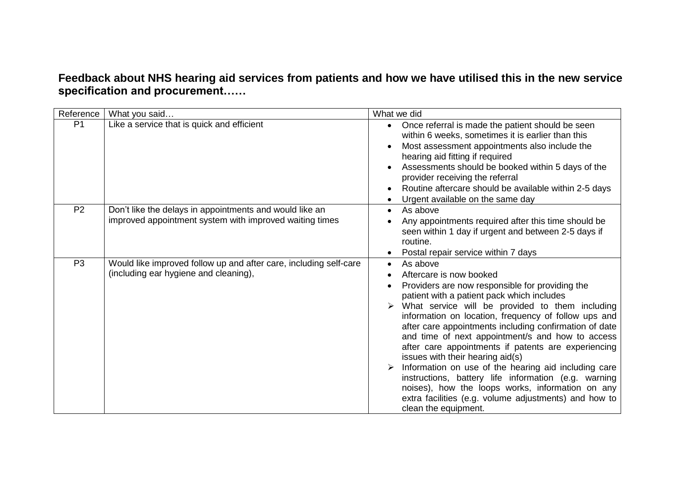**Feedback about NHS hearing aid services from patients and how we have utilised this in the new service specification and procurement……**

| Reference      | What you said                                                                                                      | What we did                                                                                                                                                                                                                                                                                                                                                                                                                                                                                                                                                                                                                                                                                                   |
|----------------|--------------------------------------------------------------------------------------------------------------------|---------------------------------------------------------------------------------------------------------------------------------------------------------------------------------------------------------------------------------------------------------------------------------------------------------------------------------------------------------------------------------------------------------------------------------------------------------------------------------------------------------------------------------------------------------------------------------------------------------------------------------------------------------------------------------------------------------------|
| P <sub>1</sub> | Like a service that is quick and efficient                                                                         | Once referral is made the patient should be seen<br>within 6 weeks, sometimes it is earlier than this<br>Most assessment appointments also include the<br>hearing aid fitting if required<br>Assessments should be booked within 5 days of the<br>provider receiving the referral<br>Routine aftercare should be available within 2-5 days<br>Urgent available on the same day                                                                                                                                                                                                                                                                                                                                |
| P <sub>2</sub> | Don't like the delays in appointments and would like an<br>improved appointment system with improved waiting times | As above<br>Any appointments required after this time should be<br>seen within 1 day if urgent and between 2-5 days if<br>routine.<br>Postal repair service within 7 days                                                                                                                                                                                                                                                                                                                                                                                                                                                                                                                                     |
| P <sub>3</sub> | Would like improved follow up and after care, including self-care<br>(including ear hygiene and cleaning),         | As above<br>Aftercare is now booked<br>Providers are now responsible for providing the<br>patient with a patient pack which includes<br>What service will be provided to them including<br>information on location, frequency of follow ups and<br>after care appointments including confirmation of date<br>and time of next appointment/s and how to access<br>after care appointments if patents are experiencing<br>issues with their hearing aid(s)<br>Information on use of the hearing aid including care<br>instructions, battery life information (e.g. warning<br>noises), how the loops works, information on any<br>extra facilities (e.g. volume adjustments) and how to<br>clean the equipment. |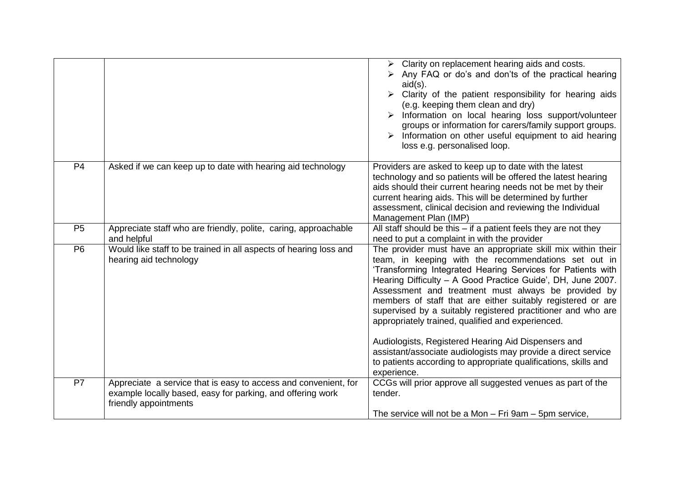|                |                                                                                                                                                        | $\triangleright$ Clarity on replacement hearing aids and costs.<br>Any FAQ or do's and don'ts of the practical hearing<br>$aid(s)$ .<br>Clarity of the patient responsibility for hearing aids<br>(e.g. keeping them clean and dry)<br>Information on local hearing loss support/volunteer<br>groups or information for carers/family support groups.<br>$\triangleright$ Information on other useful equipment to aid hearing<br>loss e.g. personalised loop.                                                                                                                                                                                                                                          |
|----------------|--------------------------------------------------------------------------------------------------------------------------------------------------------|---------------------------------------------------------------------------------------------------------------------------------------------------------------------------------------------------------------------------------------------------------------------------------------------------------------------------------------------------------------------------------------------------------------------------------------------------------------------------------------------------------------------------------------------------------------------------------------------------------------------------------------------------------------------------------------------------------|
| P <sub>4</sub> | Asked if we can keep up to date with hearing aid technology                                                                                            | Providers are asked to keep up to date with the latest<br>technology and so patients will be offered the latest hearing<br>aids should their current hearing needs not be met by their<br>current hearing aids. This will be determined by further<br>assessment, clinical decision and reviewing the Individual<br>Management Plan (IMP)                                                                                                                                                                                                                                                                                                                                                               |
| P <sub>5</sub> | Appreciate staff who are friendly, polite, caring, approachable<br>and helpful                                                                         | All staff should be this $-$ if a patient feels they are not they<br>need to put a complaint in with the provider                                                                                                                                                                                                                                                                                                                                                                                                                                                                                                                                                                                       |
| P <sub>6</sub> | Would like staff to be trained in all aspects of hearing loss and<br>hearing aid technology                                                            | The provider must have an appropriate skill mix within their<br>team, in keeping with the recommendations set out in<br>'Transforming Integrated Hearing Services for Patients with<br>Hearing Difficulty - A Good Practice Guide', DH, June 2007.<br>Assessment and treatment must always be provided by<br>members of staff that are either suitably registered or are<br>supervised by a suitably registered practitioner and who are<br>appropriately trained, qualified and experienced.<br>Audiologists, Registered Hearing Aid Dispensers and<br>assistant/associate audiologists may provide a direct service<br>to patients according to appropriate qualifications, skills and<br>experience. |
| P7             | Appreciate a service that is easy to access and convenient, for<br>example locally based, easy for parking, and offering work<br>friendly appointments | CCGs will prior approve all suggested venues as part of the<br>tender.<br>The service will not be a Mon - Fri 9am - 5pm service,                                                                                                                                                                                                                                                                                                                                                                                                                                                                                                                                                                        |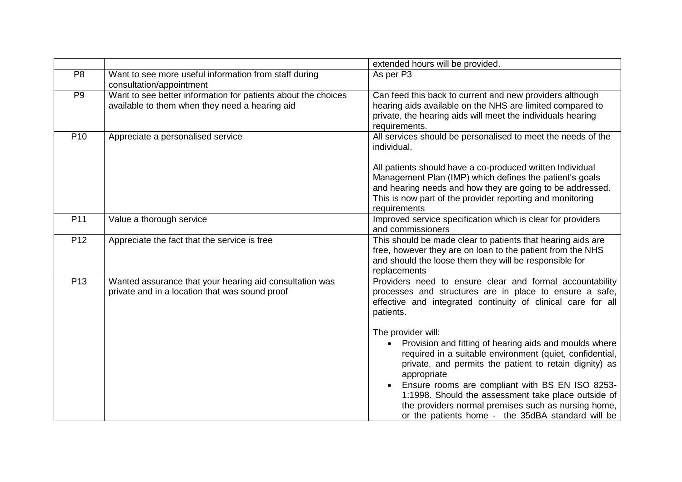|                 |                                                                                                                 | extended hours will be provided.                                                                                                                                                                                                                                                                                                                                                                                                                                                                                                                                                                                                            |
|-----------------|-----------------------------------------------------------------------------------------------------------------|---------------------------------------------------------------------------------------------------------------------------------------------------------------------------------------------------------------------------------------------------------------------------------------------------------------------------------------------------------------------------------------------------------------------------------------------------------------------------------------------------------------------------------------------------------------------------------------------------------------------------------------------|
| P <sub>8</sub>  | Want to see more useful information from staff during<br>consultation/appointment                               | As per P3                                                                                                                                                                                                                                                                                                                                                                                                                                                                                                                                                                                                                                   |
| P <sub>9</sub>  | Want to see better information for patients about the choices<br>available to them when they need a hearing aid | Can feed this back to current and new providers although<br>hearing aids available on the NHS are limited compared to<br>private, the hearing aids will meet the individuals hearing<br>requirements.                                                                                                                                                                                                                                                                                                                                                                                                                                       |
| P <sub>10</sub> | Appreciate a personalised service                                                                               | All services should be personalised to meet the needs of the<br>individual.<br>All patients should have a co-produced written Individual<br>Management Plan (IMP) which defines the patient's goals<br>and hearing needs and how they are going to be addressed.<br>This is now part of the provider reporting and monitoring<br>requirements                                                                                                                                                                                                                                                                                               |
| P11             | Value a thorough service                                                                                        | Improved service specification which is clear for providers<br>and commissioners                                                                                                                                                                                                                                                                                                                                                                                                                                                                                                                                                            |
| P <sub>12</sub> | Appreciate the fact that the service is free                                                                    | This should be made clear to patients that hearing aids are<br>free, however they are on loan to the patient from the NHS<br>and should the loose them they will be responsible for<br>replacements                                                                                                                                                                                                                                                                                                                                                                                                                                         |
| P <sub>13</sub> | Wanted assurance that your hearing aid consultation was<br>private and in a location that was sound proof       | Providers need to ensure clear and formal accountability<br>processes and structures are in place to ensure a safe,<br>effective and integrated continuity of clinical care for all<br>patients.<br>The provider will:<br>Provision and fitting of hearing aids and moulds where<br>required in a suitable environment (quiet, confidential,<br>private, and permits the patient to retain dignity) as<br>appropriate<br>Ensure rooms are compliant with BS EN ISO 8253-<br>1:1998. Should the assessment take place outside of<br>the providers normal premises such as nursing home,<br>or the patients home - the 35dBA standard will be |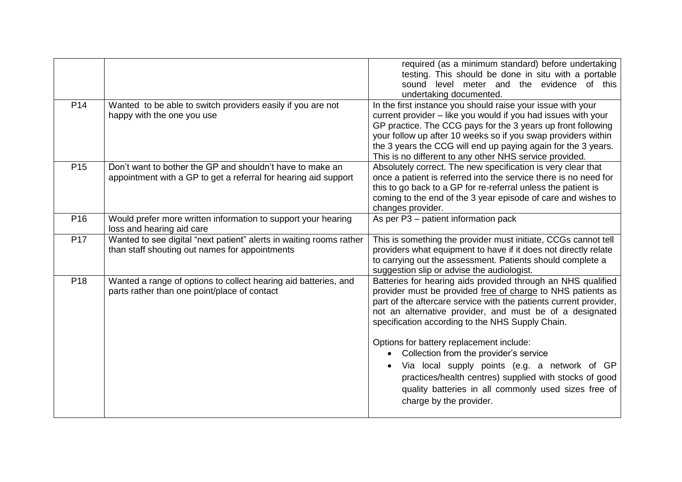|                 |                                                                                                                              | required (as a minimum standard) before undertaking<br>testing. This should be done in situ with a portable<br>sound level meter and the evidence of this<br>undertaking documented.                                                                                                                                                                                                                                                                                                                                                                                                                 |
|-----------------|------------------------------------------------------------------------------------------------------------------------------|------------------------------------------------------------------------------------------------------------------------------------------------------------------------------------------------------------------------------------------------------------------------------------------------------------------------------------------------------------------------------------------------------------------------------------------------------------------------------------------------------------------------------------------------------------------------------------------------------|
| P <sub>14</sub> | Wanted to be able to switch providers easily if you are not<br>happy with the one you use                                    | In the first instance you should raise your issue with your<br>current provider - like you would if you had issues with your<br>GP practice. The CCG pays for the 3 years up front following<br>your follow up after 10 weeks so if you swap providers within<br>the 3 years the CCG will end up paying again for the 3 years.<br>This is no different to any other NHS service provided.                                                                                                                                                                                                            |
| P <sub>15</sub> | Don't want to bother the GP and shouldn't have to make an<br>appointment with a GP to get a referral for hearing aid support | Absolutely correct. The new specification is very clear that<br>once a patient is referred into the service there is no need for<br>this to go back to a GP for re-referral unless the patient is<br>coming to the end of the 3 year episode of care and wishes to<br>changes provider.                                                                                                                                                                                                                                                                                                              |
| P <sub>16</sub> | Would prefer more written information to support your hearing<br>loss and hearing aid care                                   | As per P3 - patient information pack                                                                                                                                                                                                                                                                                                                                                                                                                                                                                                                                                                 |
| P <sub>17</sub> | Wanted to see digital "next patient" alerts in waiting rooms rather<br>than staff shouting out names for appointments        | This is something the provider must initiate, CCGs cannot tell<br>providers what equipment to have if it does not directly relate<br>to carrying out the assessment. Patients should complete a<br>suggestion slip or advise the audiologist.                                                                                                                                                                                                                                                                                                                                                        |
| P <sub>18</sub> | Wanted a range of options to collect hearing aid batteries, and<br>parts rather than one point/place of contact              | Batteries for hearing aids provided through an NHS qualified<br>provider must be provided free of charge to NHS patients as<br>part of the aftercare service with the patients current provider,<br>not an alternative provider, and must be of a designated<br>specification according to the NHS Supply Chain.<br>Options for battery replacement include:<br>Collection from the provider's service<br>Via local supply points (e.g. a network of GP<br>practices/health centres) supplied with stocks of good<br>quality batteries in all commonly used sizes free of<br>charge by the provider. |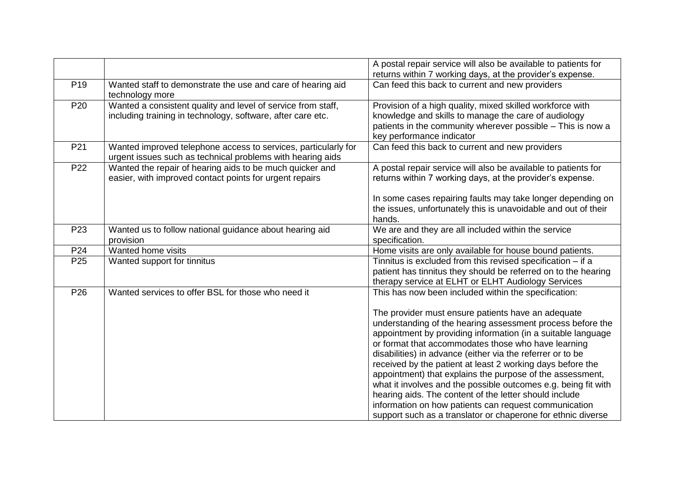|                 |                                                                                                                              | A postal repair service will also be available to patients for                                                                                                                                                                                                                                                                                                                                                                                                                                                                                                                                                                                                                                                                                |
|-----------------|------------------------------------------------------------------------------------------------------------------------------|-----------------------------------------------------------------------------------------------------------------------------------------------------------------------------------------------------------------------------------------------------------------------------------------------------------------------------------------------------------------------------------------------------------------------------------------------------------------------------------------------------------------------------------------------------------------------------------------------------------------------------------------------------------------------------------------------------------------------------------------------|
|                 |                                                                                                                              | returns within 7 working days, at the provider's expense.                                                                                                                                                                                                                                                                                                                                                                                                                                                                                                                                                                                                                                                                                     |
| P <sub>19</sub> | Wanted staff to demonstrate the use and care of hearing aid<br>technology more                                               | Can feed this back to current and new providers                                                                                                                                                                                                                                                                                                                                                                                                                                                                                                                                                                                                                                                                                               |
| P <sub>20</sub> | Wanted a consistent quality and level of service from staff,<br>including training in technology, software, after care etc.  | Provision of a high quality, mixed skilled workforce with<br>knowledge and skills to manage the care of audiology<br>patients in the community wherever possible - This is now a<br>key performance indicator                                                                                                                                                                                                                                                                                                                                                                                                                                                                                                                                 |
| P21             | Wanted improved telephone access to services, particularly for<br>urgent issues such as technical problems with hearing aids | Can feed this back to current and new providers                                                                                                                                                                                                                                                                                                                                                                                                                                                                                                                                                                                                                                                                                               |
| P <sub>22</sub> | Wanted the repair of hearing aids to be much quicker and<br>easier, with improved contact points for urgent repairs          | A postal repair service will also be available to patients for<br>returns within 7 working days, at the provider's expense.                                                                                                                                                                                                                                                                                                                                                                                                                                                                                                                                                                                                                   |
|                 |                                                                                                                              | In some cases repairing faults may take longer depending on<br>the issues, unfortunately this is unavoidable and out of their<br>hands.                                                                                                                                                                                                                                                                                                                                                                                                                                                                                                                                                                                                       |
| P <sub>23</sub> | Wanted us to follow national guidance about hearing aid<br>provision                                                         | We are and they are all included within the service<br>specification.                                                                                                                                                                                                                                                                                                                                                                                                                                                                                                                                                                                                                                                                         |
| P24             | Wanted home visits                                                                                                           | Home visits are only available for house bound patients.                                                                                                                                                                                                                                                                                                                                                                                                                                                                                                                                                                                                                                                                                      |
| P <sub>25</sub> | Wanted support for tinnitus                                                                                                  | Tinnitus is excluded from this revised specification - if a<br>patient has tinnitus they should be referred on to the hearing<br>therapy service at ELHT or ELHT Audiology Services                                                                                                                                                                                                                                                                                                                                                                                                                                                                                                                                                           |
| P <sub>26</sub> | Wanted services to offer BSL for those who need it                                                                           | This has now been included within the specification:<br>The provider must ensure patients have an adequate<br>understanding of the hearing assessment process before the<br>appointment by providing information (in a suitable language<br>or format that accommodates those who have learning<br>disabilities) in advance (either via the referrer or to be<br>received by the patient at least 2 working days before the<br>appointment) that explains the purpose of the assessment,<br>what it involves and the possible outcomes e.g. being fit with<br>hearing aids. The content of the letter should include<br>information on how patients can request communication<br>support such as a translator or chaperone for ethnic diverse |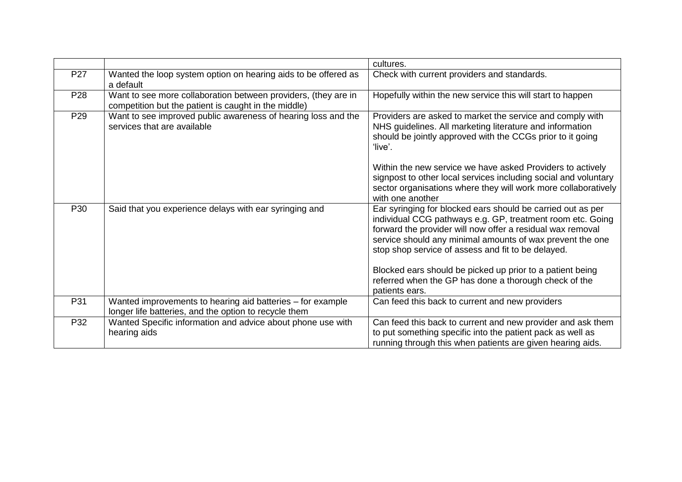|                 |                                                                                                                        | cultures.                                                                                                                                                                                                                                                                                                  |
|-----------------|------------------------------------------------------------------------------------------------------------------------|------------------------------------------------------------------------------------------------------------------------------------------------------------------------------------------------------------------------------------------------------------------------------------------------------------|
| P <sub>27</sub> | Wanted the loop system option on hearing aids to be offered as<br>a default                                            | Check with current providers and standards.                                                                                                                                                                                                                                                                |
| P <sub>28</sub> | Want to see more collaboration between providers, (they are in<br>competition but the patient is caught in the middle) | Hopefully within the new service this will start to happen                                                                                                                                                                                                                                                 |
| P <sub>29</sub> | Want to see improved public awareness of hearing loss and the<br>services that are available                           | Providers are asked to market the service and comply with<br>NHS guidelines. All marketing literature and information<br>should be jointly approved with the CCGs prior to it going<br>'live'.                                                                                                             |
|                 |                                                                                                                        | Within the new service we have asked Providers to actively<br>signpost to other local services including social and voluntary<br>sector organisations where they will work more collaboratively<br>with one another                                                                                        |
| P30             | Said that you experience delays with ear syringing and                                                                 | Ear syringing for blocked ears should be carried out as per<br>individual CCG pathways e.g. GP, treatment room etc. Going<br>forward the provider will now offer a residual wax removal<br>service should any minimal amounts of wax prevent the one<br>stop shop service of assess and fit to be delayed. |
|                 |                                                                                                                        | Blocked ears should be picked up prior to a patient being<br>referred when the GP has done a thorough check of the<br>patients ears.                                                                                                                                                                       |
| P31             | Wanted improvements to hearing aid batteries - for example<br>longer life batteries, and the option to recycle them    | Can feed this back to current and new providers                                                                                                                                                                                                                                                            |
| P32             | Wanted Specific information and advice about phone use with<br>hearing aids                                            | Can feed this back to current and new provider and ask them<br>to put something specific into the patient pack as well as<br>running through this when patients are given hearing aids.                                                                                                                    |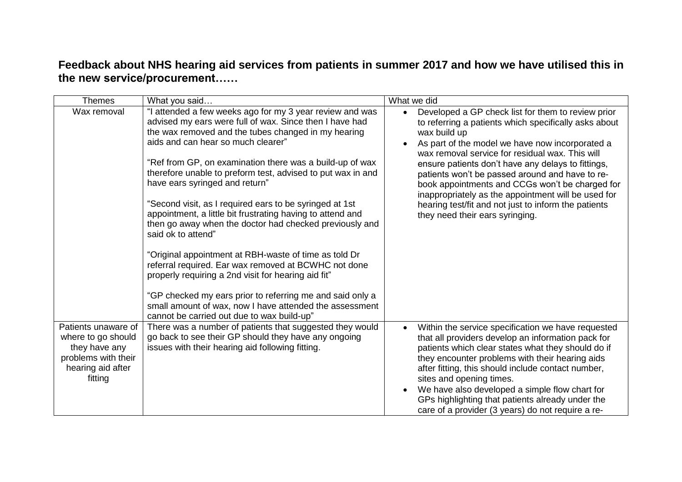## **Feedback about NHS hearing aid services from patients in summer 2017 and how we have utilised this in the new service/procurement……**

| <b>Themes</b>                                                                                                     | What you said                                                                                                                                                                                                                                                                                                                                                                                                                                                                                                                                                                                                                                                                                                                                                                                                                                                                                                                         | What we did                                                                                                                                                                                                                                                                                                                                                                                                                                                                                                                                     |
|-------------------------------------------------------------------------------------------------------------------|---------------------------------------------------------------------------------------------------------------------------------------------------------------------------------------------------------------------------------------------------------------------------------------------------------------------------------------------------------------------------------------------------------------------------------------------------------------------------------------------------------------------------------------------------------------------------------------------------------------------------------------------------------------------------------------------------------------------------------------------------------------------------------------------------------------------------------------------------------------------------------------------------------------------------------------|-------------------------------------------------------------------------------------------------------------------------------------------------------------------------------------------------------------------------------------------------------------------------------------------------------------------------------------------------------------------------------------------------------------------------------------------------------------------------------------------------------------------------------------------------|
| Wax removal                                                                                                       | "I attended a few weeks ago for my 3 year review and was<br>advised my ears were full of wax. Since then I have had<br>the wax removed and the tubes changed in my hearing<br>aids and can hear so much clearer"<br>"Ref from GP, on examination there was a build-up of wax<br>therefore unable to preform test, advised to put wax in and<br>have ears syringed and return"<br>"Second visit, as I required ears to be syringed at 1st<br>appointment, a little bit frustrating having to attend and<br>then go away when the doctor had checked previously and<br>said ok to attend"<br>"Original appointment at RBH-waste of time as told Dr<br>referral required. Ear wax removed at BCWHC not done<br>properly requiring a 2nd visit for hearing aid fit"<br>"GP checked my ears prior to referring me and said only a<br>small amount of wax, now I have attended the assessment<br>cannot be carried out due to wax build-up" | Developed a GP check list for them to review prior<br>to referring a patients which specifically asks about<br>wax build up<br>As part of the model we have now incorporated a<br>wax removal service for residual wax. This will<br>ensure patients don't have any delays to fittings,<br>patients won't be passed around and have to re-<br>book appointments and CCGs won't be charged for<br>inappropriately as the appointment will be used for<br>hearing test/fit and not just to inform the patients<br>they need their ears syringing. |
| Patients unaware of<br>where to go should<br>they have any<br>problems with their<br>hearing aid after<br>fitting | There was a number of patients that suggested they would<br>go back to see their GP should they have any ongoing<br>issues with their hearing aid following fitting.                                                                                                                                                                                                                                                                                                                                                                                                                                                                                                                                                                                                                                                                                                                                                                  | Within the service specification we have requested<br>that all providers develop an information pack for<br>patients which clear states what they should do if<br>they encounter problems with their hearing aids<br>after fitting, this should include contact number,<br>sites and opening times.<br>We have also developed a simple flow chart for<br>GPs highlighting that patients already under the<br>care of a provider (3 years) do not require a re-                                                                                  |